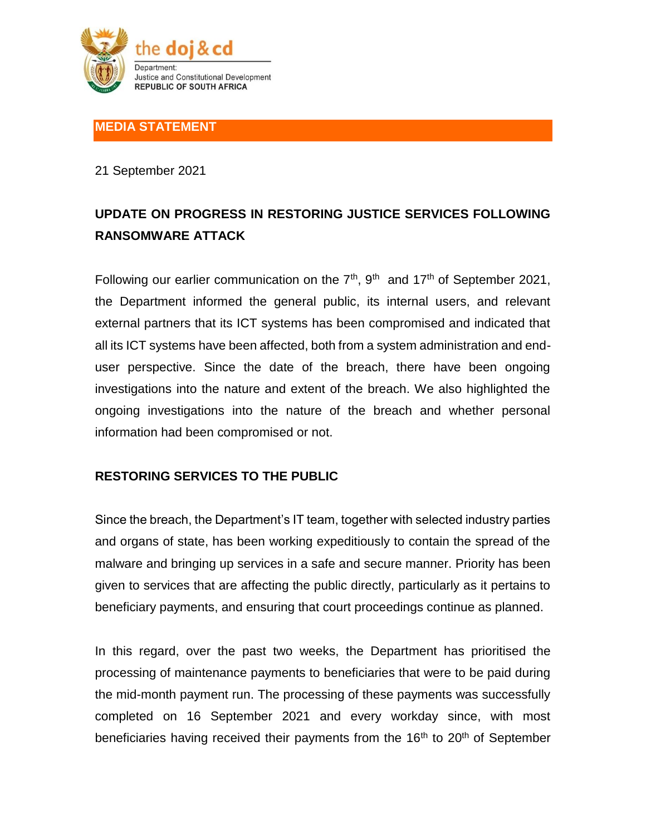

## **MEDIA STATEMENT**

21 September 2021

# **UPDATE ON PROGRESS IN RESTORING JUSTICE SERVICES FOLLOWING RANSOMWARE ATTACK**

Following our earlier communication on the  $7<sup>th</sup>$ ,  $9<sup>th</sup>$  and  $17<sup>th</sup>$  of September 2021, the Department informed the general public, its internal users, and relevant external partners that its ICT systems has been compromised and indicated that all its ICT systems have been affected, both from a system administration and enduser perspective. Since the date of the breach, there have been ongoing investigations into the nature and extent of the breach. We also highlighted the ongoing investigations into the nature of the breach and whether personal information had been compromised or not.

# **RESTORING SERVICES TO THE PUBLIC**

Since the breach, the Department's IT team, together with selected industry parties and organs of state, has been working expeditiously to contain the spread of the malware and bringing up services in a safe and secure manner. Priority has been given to services that are affecting the public directly, particularly as it pertains to beneficiary payments, and ensuring that court proceedings continue as planned.

In this regard, over the past two weeks, the Department has prioritised the processing of maintenance payments to beneficiaries that were to be paid during the mid-month payment run. The processing of these payments was successfully completed on 16 September 2021 and every workday since, with most beneficiaries having received their payments from the  $16<sup>th</sup>$  to  $20<sup>th</sup>$  of September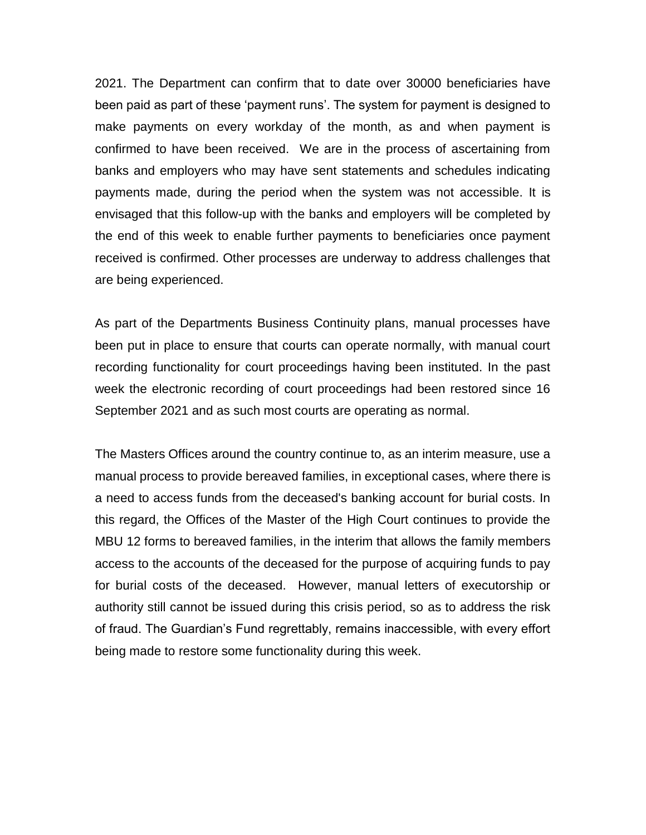2021. The Department can confirm that to date over 30000 beneficiaries have been paid as part of these 'payment runs'. The system for payment is designed to make payments on every workday of the month, as and when payment is confirmed to have been received. We are in the process of ascertaining from banks and employers who may have sent statements and schedules indicating payments made, during the period when the system was not accessible. It is envisaged that this follow-up with the banks and employers will be completed by the end of this week to enable further payments to beneficiaries once payment received is confirmed. Other processes are underway to address challenges that are being experienced.

As part of the Departments Business Continuity plans, manual processes have been put in place to ensure that courts can operate normally, with manual court recording functionality for court proceedings having been instituted. In the past week the electronic recording of court proceedings had been restored since 16 September 2021 and as such most courts are operating as normal.

The Masters Offices around the country continue to, as an interim measure, use a manual process to provide bereaved families, in exceptional cases, where there is a need to access funds from the deceased's banking account for burial costs. In this regard, the Offices of the Master of the High Court continues to provide the MBU 12 forms to bereaved families, in the interim that allows the family members access to the accounts of the deceased for the purpose of acquiring funds to pay for burial costs of the deceased. However, manual letters of executorship or authority still cannot be issued during this crisis period, so as to address the risk of fraud. The Guardian's Fund regrettably, remains inaccessible, with every effort being made to restore some functionality during this week.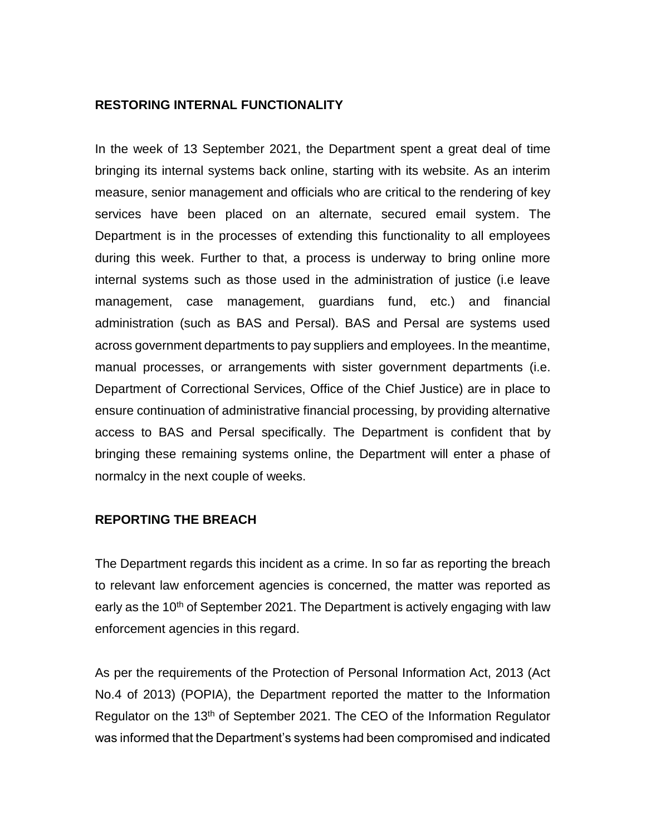#### **RESTORING INTERNAL FUNCTIONALITY**

In the week of 13 September 2021, the Department spent a great deal of time bringing its internal systems back online, starting with its website. As an interim measure, senior management and officials who are critical to the rendering of key services have been placed on an alternate, secured email system. The Department is in the processes of extending this functionality to all employees during this week. Further to that, a process is underway to bring online more internal systems such as those used in the administration of justice (i.e leave management, case management, guardians fund, etc.) and financial administration (such as BAS and Persal). BAS and Persal are systems used across government departments to pay suppliers and employees. In the meantime, manual processes, or arrangements with sister government departments (i.e. Department of Correctional Services, Office of the Chief Justice) are in place to ensure continuation of administrative financial processing, by providing alternative access to BAS and Persal specifically. The Department is confident that by bringing these remaining systems online, the Department will enter a phase of normalcy in the next couple of weeks.

#### **REPORTING THE BREACH**

The Department regards this incident as a crime. In so far as reporting the breach to relevant law enforcement agencies is concerned, the matter was reported as early as the 10<sup>th</sup> of September 2021. The Department is actively engaging with law enforcement agencies in this regard.

As per the requirements of the Protection of Personal Information Act, 2013 (Act No.4 of 2013) (POPIA), the Department reported the matter to the Information Regulator on the 13<sup>th</sup> of September 2021. The CEO of the Information Regulator was informed that the Department's systems had been compromised and indicated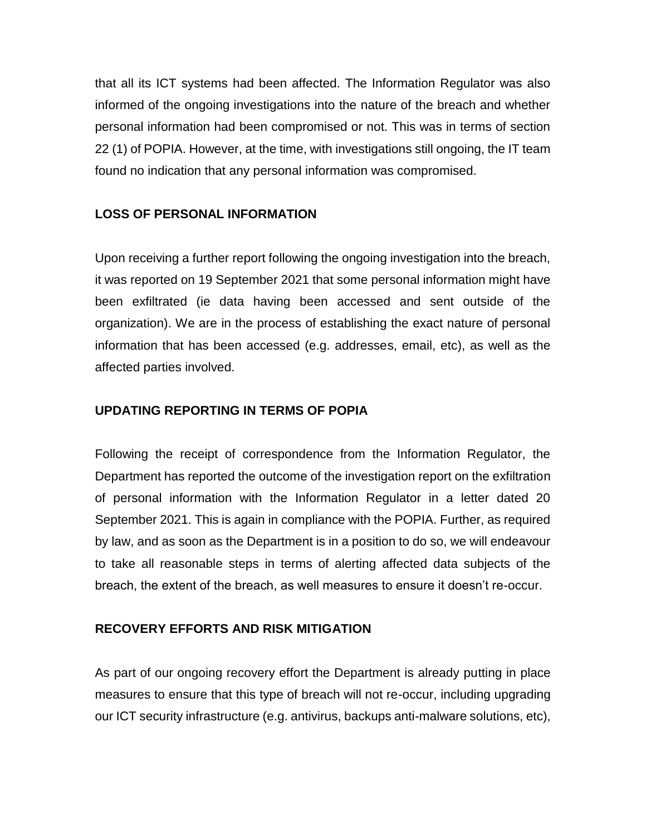that all its ICT systems had been affected. The Information Regulator was also informed of the ongoing investigations into the nature of the breach and whether personal information had been compromised or not. This was in terms of section 22 (1) of POPIA. However, at the time, with investigations still ongoing, the IT team found no indication that any personal information was compromised.

# **LOSS OF PERSONAL INFORMATION**

Upon receiving a further report following the ongoing investigation into the breach, it was reported on 19 September 2021 that some personal information might have been exfiltrated (ie data having been accessed and sent outside of the organization). We are in the process of establishing the exact nature of personal information that has been accessed (e.g. addresses, email, etc), as well as the affected parties involved.

## **UPDATING REPORTING IN TERMS OF POPIA**

Following the receipt of correspondence from the Information Regulator, the Department has reported the outcome of the investigation report on the exfiltration of personal information with the Information Regulator in a letter dated 20 September 2021. This is again in compliance with the POPIA. Further, as required by law, and as soon as the Department is in a position to do so, we will endeavour to take all reasonable steps in terms of alerting affected data subjects of the breach, the extent of the breach, as well measures to ensure it doesn't re-occur.

#### **RECOVERY EFFORTS AND RISK MITIGATION**

As part of our ongoing recovery effort the Department is already putting in place measures to ensure that this type of breach will not re-occur, including upgrading our ICT security infrastructure (e.g. antivirus, backups anti-malware solutions, etc),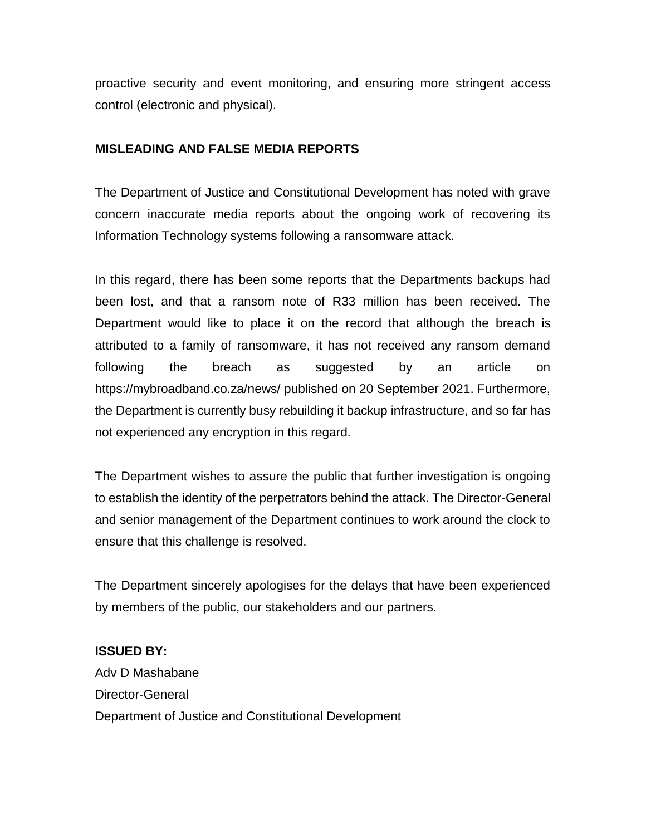proactive security and event monitoring, and ensuring more stringent access control (electronic and physical).

## **MISLEADING AND FALSE MEDIA REPORTS**

The Department of Justice and Constitutional Development has noted with grave concern inaccurate media reports about the ongoing work of recovering its Information Technology systems following a ransomware attack.

In this regard, there has been some reports that the Departments backups had been lost, and that a ransom note of R33 million has been received. The Department would like to place it on the record that although the breach is attributed to a family of ransomware, it has not received any ransom demand following the breach as suggested by an article on https://mybroadband.co.za/news/ published on 20 September 2021. Furthermore, the Department is currently busy rebuilding it backup infrastructure, and so far has not experienced any encryption in this regard.

The Department wishes to assure the public that further investigation is ongoing to establish the identity of the perpetrators behind the attack. The Director-General and senior management of the Department continues to work around the clock to ensure that this challenge is resolved.

The Department sincerely apologises for the delays that have been experienced by members of the public, our stakeholders and our partners.

#### **ISSUED BY:**

Adv D Mashabane Director-General Department of Justice and Constitutional Development